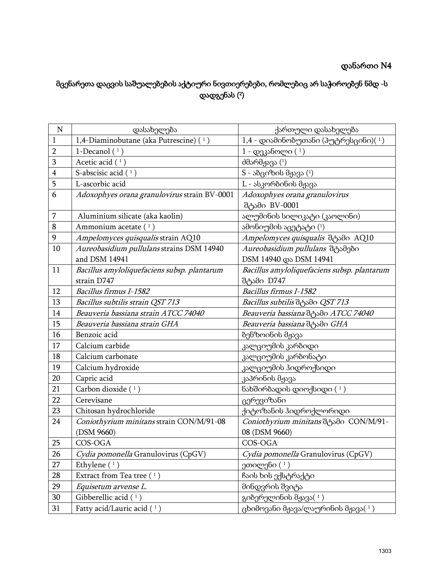## დანართი N4

## მცენარეთა დაცვის საშუალებების აქტიური ნივთიერებები, რომლებიც არ საჭიროებენ ნმდ -ს დადგენას ( 2 )

| $\mathbf N$             | დასახელება                                   | ქართული დასახელება                            |
|-------------------------|----------------------------------------------|-----------------------------------------------|
| $\mathbf{1}$            | 1,4-Diaminobutane (aka Putrescine) (1)       | $1,4$ - დიამინობუთანი (პუტრესცინი) $(1)$      |
| $\overline{2}$          | 1-Decanol $(1)$                              | 1 - დეკანოლი (1)                              |
| 3                       | Acetic acid $(1)$                            | $d\partial$ არმჟავა $(1)$                     |
| $\overline{\mathbf{4}}$ | S-abscisic acid $(1)$                        | S - აბციზის მჟავა (1)                         |
| 5                       | L-ascorbic acid                              | L - ასკორბინის მჟავა                          |
| 6                       | Adoxophyes orana granulovirus strain BV-0001 | Adoxophyes orana granulovirus                 |
|                         |                                              | შტამი BV-0001                                 |
| 7                       | Aluminium silicate (aka kaolin)              | ალუმინის სილიკატი (კაოლინი)                   |
| 8                       | Ammonium acetate $(1)$                       | ამონიუმის აცეტატი (1)                         |
| 9                       | Ampelomyces quisqualis strain AQ10           | Ampelomyces quisqualis dosdo AQ10             |
| 10                      | Aureobasidium pullulans strains DSM 14940    | Aureobasidium pullulans desdgoo               |
|                         | and DSM 14941                                | DSM 14940 და DSM 14941                        |
| 11                      | Bacillus amyloliquefaciens subsp. plantarum  | Bacillus amyloliquefaciens subsp. plantarum   |
|                         | strain D747                                  | შტამი D747                                    |
| 12                      | Bacillus firmus I-1582                       | Bacillus firmus I-1582                        |
| 13                      | Bacillus subtilis strain QST 713             | Bacillus subtilis de Solo QST 713             |
| 14                      | Beauveria bassiana strain ATCC 74040         | Beauveria bassiana do Sdo ATCC 74040          |
| 15                      | Beauveria bassiana strain GHA                | Beauveria bassiana de Solo GHA                |
| 16                      | Benzoic acid                                 | ბენზოინის მჟავა                               |
| 17                      | Calcium carbide                              | კალციუმის კარბიდი                             |
| 18                      | Calcium carbonate                            | კალციუმის კარბონატი                           |
| 19                      | Calcium hydroxide                            | კალციუმის ჰიდროქსიდი                          |
| 20                      | Capric acid                                  | კაპრინის მჟავა                                |
| 21                      | Carbon dioxide $(1)$                         | ნახშირბადის დიოქსიდი $(1)$                    |
| 22                      | Cerevisane                                   | ცერევიზანი                                    |
| 23                      | Chitosan hydrochloride                       | ქიტოზანის ჰიდროქლორიდი                        |
| 24                      | Coniothyrium minitans strain CON/M/91-08     | Coniothyrium minitans dosdo CON/M/91-         |
|                         | (DSM 9660)                                   | 08 (DSM 9660)                                 |
| 25                      | COS-OGA                                      | COS-OGA                                       |
| 26                      | Cydia pomonella Granulovirus (CpGV)          | Cydia pomonella Granulovirus (CpGV)           |
| 27                      | Ethylene $(1)$                               | ეთილენი $(1)$                                 |
| 28                      | Extract from Tea tree $(1)$                  | ჩაის ხის ექსტრაქტი                            |
| 29                      | Equisetum arvense L.                         | მინდვრის შვიტა                                |
| $30\,$                  | Gibberellic acid $(1)$                       | გიბერელინის მჟავა $(1)$                       |
| 31                      | Fatty acid/Lauric acid (1)                   | $\beta$ ხიმოვანი მჟავა/ლაურინის მჟავა $(\pm)$ |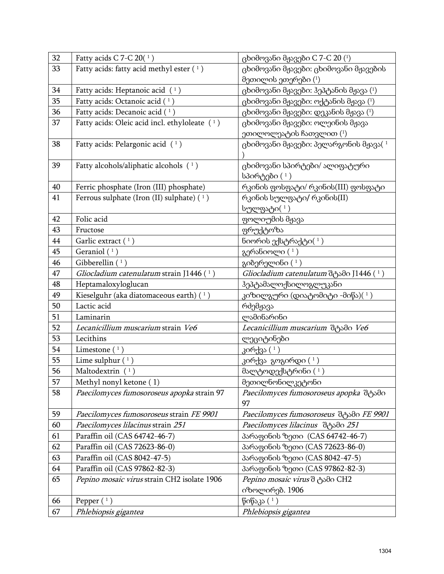| 32 | Fatty acids C 7-C 20 $(1)$                      | ცხიმოვანი მჟავები C 7-C 20 $(1)$                         |
|----|-------------------------------------------------|----------------------------------------------------------|
| 33 | Fatty acids: fatty acid methyl ester $(1)$      | ცხიმოვანი მჟავები: ცხიმოვანი მჟავების                    |
|    |                                                 | მეთილის ეთერები (1)                                      |
| 34 | Fatty acids: Heptanoic acid $(1)$               | $\beta$ ხიმოვანი მჟავები: ჰეპტანის მჟავა $(1)$           |
| 35 | Fatty acids: Octanoic acid (1)                  | $\beta$ ხიმოვანი მჟავები: ოქტანის მჟავა $(1)$            |
| 36 | Fatty acids: Decanoic acid (1)                  | $\beta$ ხიმოვანი მჟავები: დეკანის მჟავა $\left(1\right)$ |
| 37 | Fatty acids: Oleic acid incl. ethyloleate $(1)$ | ცხიმოვანი მჟავები: ოლეინის მჟავა                         |
|    |                                                 | ეთილოლეატის ჩათვლით $(1)$                                |
| 38 | Fatty acids: Pelargonic acid $(1)$              | ცხიმოვანი მჟავები: პელარგონის მჟავა $(1)$                |
|    |                                                 |                                                          |
| 39 | Fatty alcohols/aliphatic alcohols (1)           | ცხიმოვანი სპირტები/ ალიფატური                            |
|    |                                                 | სპირტები (1)                                             |
| 40 | Ferric phosphate (Iron (III) phosphate)         | რკინის ფოსფატი/ რკინის $(III)$ ფოსფატი                   |
| 41 | Ferrous sulphate (Iron (II) sulphate) (1)       | რკინის სულფატი/ რკინის(II)                               |
|    |                                                 | სულფატი(1)                                               |
| 42 | Folic acid                                      | ფოლიუმის მჟავა                                           |
| 43 | Fructose                                        | ფრუქტოზა                                                 |
| 44 | Garlic extract $(1)$                            | ნიორის ექსტრაქტი $(1)$                                   |
| 45 | Geraniol $(1)$                                  | გერანიოლი $(1)$                                          |
| 46 | Gibberellin $(1)$                               | გიბერელინი $(1)$                                         |
| 47 | Gliocladium catenulatum strain J1446 $(1)$      | Gliocladium catenulatum de Solo J1446 (1)                |
| 48 | Heptamaloxyloglucan                             | ჰეპტამალოქსილოგლუკანი                                    |
| 49 | Kieselguhr (aka diatomaceous earth) (1)         | კიზილგური (დიატომიტი -მიწა) $(\ ^1)$                     |
| 50 | Lactic acid                                     | რძემჟავა                                                 |
| 51 | Laminarin                                       | ლამინარინი                                               |
| 52 | Lecanicillium muscarium strain Ve6              | Lecanicillium muscarium deysdo Ve6                       |
| 53 | Lecithins                                       | ლეციტინები                                               |
| 54 | Limestone $(1)$                                 | კირქვა ( 1 )                                             |
| 55 | Lime sulphur $(1)$                              | კირქვა გოგირდი (1)                                       |
| 56 | Maltodextrin $(1)$                              | მალტოდექსტრინი $(1)$                                     |
| 57 | Methyl nonyl ketone (1)                         | მეთილნონილკეტონი                                         |
| 58 | Paecilomyces fumosoroseus apopka strain 97      | Paecilomyces fumosoroseus apopka desdo                   |
|    |                                                 | 97                                                       |
| 59 | Paecilomyces fumosoroseus strain FE 9901        | Paecilomyces fumosoroseus desdo FE 9901                  |
| 60 | Paecilomyces lilacinus strain 251               | Paecilomyces lilacinus desdo 251                         |
| 61 | Paraffin oil (CAS 64742-46-7)                   | პარაფინის ზეთი (CAS 64742-46-7)                          |
| 62 | Paraffin oil (CAS 72623-86-0)                   | პარაფინის ზეთი (CAS 72623-86-0)                          |
| 63 | Paraffin oil (CAS 8042-47-5)                    | პარაფინის ზეთი (CAS 8042-47-5)                           |
| 64 | Paraffin oil (CAS 97862-82-3)                   | პარაფინის ზეთი (CAS 97862-82-3)                          |
| 65 | Pepino mosaic virus strain CH2 isolate 1906     | Pepino mosaic virus d 3500 CH2                           |
|    |                                                 | იზოლირებ. 1906                                           |
| 66 | Pepper $(1)$                                    | წიწაკა $(1)$                                             |
| 67 | Phlebiopsis gigantea                            | Phlebiopsis gigantea                                     |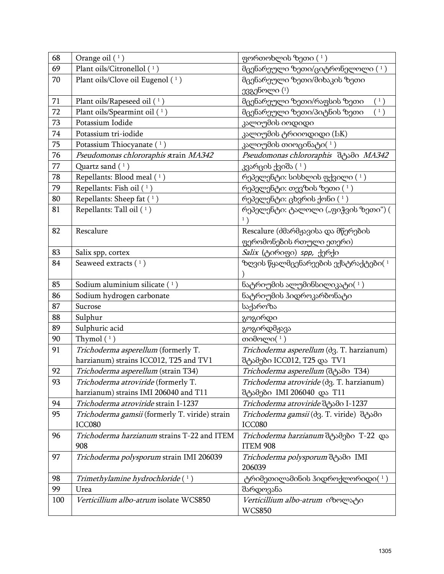| 68  | Orange oil $(1)$                               | ფორთოხლის ზეთი $(1)$                                                           |
|-----|------------------------------------------------|--------------------------------------------------------------------------------|
| 69  | Plant oils/Citronellol (1)                     | მცენარეული ზეთი/ციტრონელოლი $(1)$                                              |
| 70  | Plant oils/Clove oil Eugenol (1)               | მცენარეული ზეთი/მიხაკის ზეთი                                                   |
|     |                                                | ევგენოლი (1)                                                                   |
| 71  | Plant oils/Rapeseed oil (1)                    | მცენარეული ზეთი/რაფსის ზეთი<br>$\left( \begin{array}{c} 1 \end{array} \right)$ |
| 72  | Plant oils/Spearmint oil (1)                   | მცენარეული ზეთი/პიტნის ზეთი<br>$\left(1\right)$                                |
| 73  | Potassium Iodide                               | კალიუმის იოდიდი                                                                |
| 74  | Potassium tri-iodide                           | კალიუმის ტრიიოდიდი (I3K)                                                       |
| 75  | Potassium Thiocyanate (1)                      | კალიუმის თიოცინატი $(\ ^1)$                                                    |
| 76  | Pseudomonas chlororaphis strain MA342          | Pseudomonas chlororaphis dgsdo MA342                                           |
| 77  | Quartz sand $(1)$                              | კვარცის ქვიშა ( $^1$ )                                                         |
| 78  | Repellants: Blood meal (1)                     | რეპელენტი: სისხლის ფქვილი $(1)$                                                |
| 79  | Repellants: Fish oil $(1)$                     | რეპელენტი: თევზის ზეთი $(1)$                                                   |
| 80  | Repellants: Sheep fat $(1)$                    | რეპელენტი: ცხვრის ქონი $(1)$                                                   |
| 81  | Repellants: Tall oil $(1)$                     | რეპელენტი: ტალოლი ("ფიჭვის ზეთი") (                                            |
|     |                                                | 1)                                                                             |
| 82  | Rescalure                                      | Rescalure (dმარმჟავისა და მწერების                                             |
|     |                                                | ფერომონების რთული ეთერი)                                                       |
| 83  | Salix spp, cortex                              | Salix (ტირიფი) spp, ქერქი                                                      |
| 84  | Seaweed extracts $(1)$                         | ზღვის წყალმცენარეების ექსტრაქტები $(1)$                                        |
|     |                                                |                                                                                |
| 85  | Sodium aluminium silicate $(1)$                | $5$ ატრიუმის ალუმინსილიკატი $(1)$                                              |
| 86  | Sodium hydrogen carbonate                      | ნატრიუმის ჰიდროკარბონატი                                                       |
| 87  | Sucrose                                        | საქაროზა                                                                       |
| 88  | Sulphur                                        | გოგირდი                                                                        |
| 89  | Sulphuric acid                                 | გოგირდმჟავა                                                                    |
| 90  | Thymol $(1)$                                   | თიმოლი $(1)$                                                                   |
| 91  | Trichoderma asperellum (formerly T.            | Trichoderma asperellum (d3. T. harzianum)                                      |
|     | harzianum) strains ICC012, T25 and TV1         | შტამები ICC012, T25 და TV1                                                     |
| 92  | Trichoderma asperellum (strain T34)            | Trichoderma asperellum (de 3do T34)                                            |
| 93  | Trichoderma atroviride (formerly T.            | Trichoderma atroviride (d3. T. harzianum)                                      |
|     | harzianum) strains IMI 206040 and T11          | შტამები IMI 206040 და T11                                                      |
| 94  | Trichoderma atroviride strain I-1237           | Trichoderma atroviride θιλοθο I-1237                                           |
| 95  | Trichoderma gamsii (formerly T. viride) strain | Trichoderma gamsii (d3. T. viride) dosdo                                       |
|     | ICC080                                         | ICC080                                                                         |
| 96  | Trichoderma harzianum strains T-22 and ITEM    | Trichoderma harzianum შტამები T-22 და                                          |
|     | 908                                            | ITEM 908                                                                       |
| 97  | Trichoderma polysporum strain IMI 206039       | Trichoderma polysporum de Sdo IMI                                              |
|     |                                                | 206039                                                                         |
| 98  | Trimethylamine hydrochloride (1)               | ტრიმეთილამინის ჰიდროქლორიდი $(1)$                                              |
| 99  | Urea                                           | შარდოვანა                                                                      |
| 100 | Verticillium albo-atrum isolate WCS850         | Verticillium albo-atrum იზოლატი                                                |
|     |                                                | <b>WCS850</b>                                                                  |